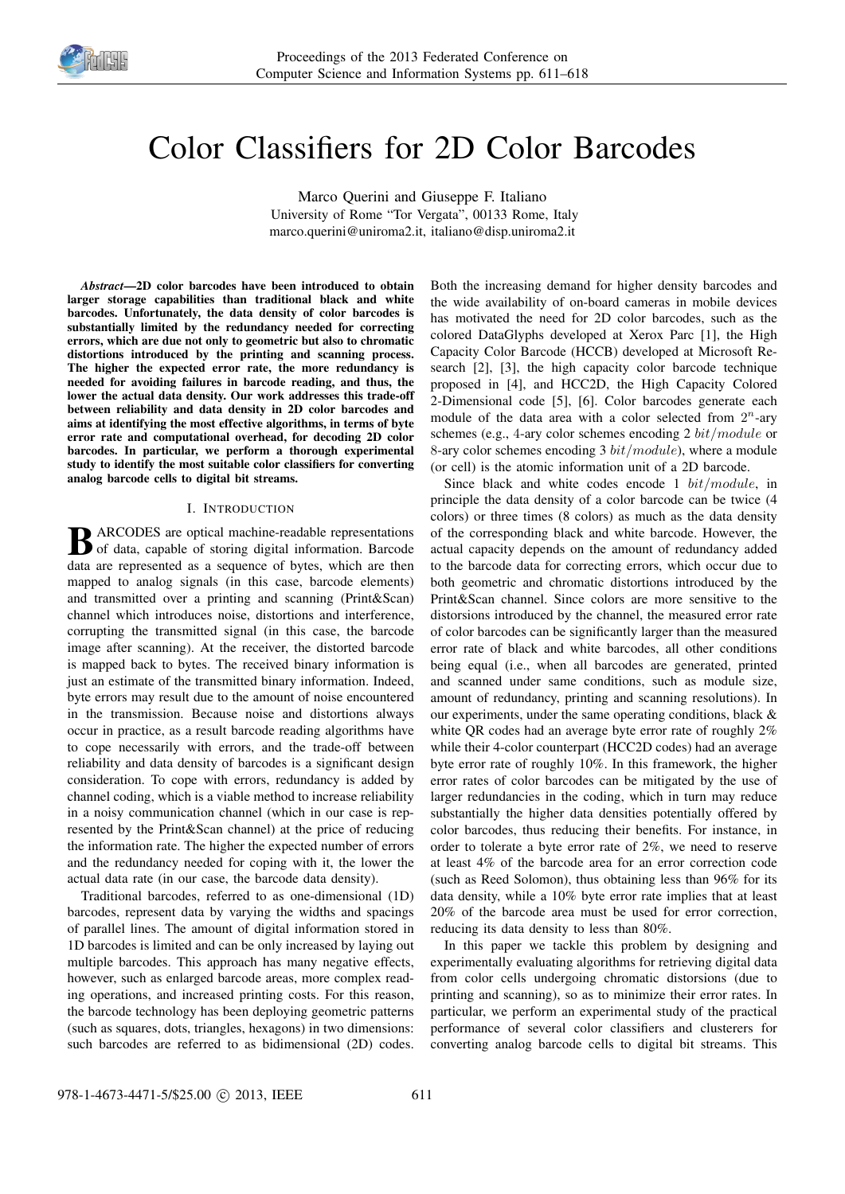

# Color Classifiers for 2D Color Barcodes

Marco Querini and Giuseppe F. Italiano University of Rome "Tor Vergata", 00133 Rome, Italy marco.querini@uniroma2.it, italiano@disp.uniroma2.it

*Abstract*—2D color barcodes have been introduced to obtain larger storage capabilities than traditional black and white barcodes. Unfortunately, the data density of color barcodes is substantially limited by the redundancy needed for correcting errors, which are due not only to geometric but also to chromatic distortions introduced by the printing and scanning process. The higher the expected error rate, the more redundancy is needed for avoiding failures in barcode reading, and thus, the lower the actual data density. Our work addresses this trade-off between reliability and data density in 2D color barcodes and aims at identifying the most effective algorithms, in terms of byte error rate and computational overhead, for decoding 2D color barcodes. In particular, we perform a thorough experimental study to identify the most suitable color classifiers for converting analog barcode cells to digital bit streams.

#### I. INTRODUCTION

**B** ARCODES are optical machine-readable representations of data, capable of storing digital information. Barcode of data, capable of storing digital information. Barcode data are represented as a sequence of bytes, which are then mapped to analog signals (in this case, barcode elements) and transmitted over a printing and scanning (Print&Scan) channel which introduces noise, distortions and interference, corrupting the transmitted signal (in this case, the barcode image after scanning). At the receiver, the distorted barcode is mapped back to bytes. The received binary information is just an estimate of the transmitted binary information. Indeed, byte errors may result due to the amount of noise encountered in the transmission. Because noise and distortions always occur in practice, as a result barcode reading algorithms have to cope necessarily with errors, and the trade-off between reliability and data density of barcodes is a significant design consideration. To cope with errors, redundancy is added by channel coding, which is a viable method to increase reliability in a noisy communication channel (which in our case is represented by the Print&Scan channel) at the price of reducing the information rate. The higher the expected number of errors and the redundancy needed for coping with it, the lower the actual data rate (in our case, the barcode data density).

Traditional barcodes, referred to as one-dimensional (1D) barcodes, represent data by varying the widths and spacings of parallel lines. The amount of digital information stored in 1D barcodes is limited and can be only increased by laying out multiple barcodes. This approach has many negative effects, however, such as enlarged barcode areas, more complex reading operations, and increased printing costs. For this reason, the barcode technology has been deploying geometric patterns (such as squares, dots, triangles, hexagons) in two dimensions: such barcodes are referred to as bidimensional (2D) codes.

Both the increasing demand for higher density barcodes and the wide availability of on-board cameras in mobile devices has motivated the need for 2D color barcodes, such as the colored DataGlyphs developed at Xerox Parc [1], the High Capacity Color Barcode (HCCB) developed at Microsoft Research [2], [3], the high capacity color barcode technique proposed in [4], and HCC2D, the High Capacity Colored 2-Dimensional code [5], [6]. Color barcodes generate each module of the data area with a color selected from  $2^n$ -ary schemes (e.g., 4-ary color schemes encoding 2 bit/module or 8-ary color schemes encoding 3  $bit/module$ , where a module (or cell) is the atomic information unit of a 2D barcode.

Since black and white codes encode 1  $bit/module$ , in principle the data density of a color barcode can be twice (4 colors) or three times (8 colors) as much as the data density of the corresponding black and white barcode. However, the actual capacity depends on the amount of redundancy added to the barcode data for correcting errors, which occur due to both geometric and chromatic distortions introduced by the Print&Scan channel. Since colors are more sensitive to the distorsions introduced by the channel, the measured error rate of color barcodes can be significantly larger than the measured error rate of black and white barcodes, all other conditions being equal (i.e., when all barcodes are generated, printed and scanned under same conditions, such as module size, amount of redundancy, printing and scanning resolutions). In our experiments, under the same operating conditions, black & white QR codes had an average byte error rate of roughly 2% while their 4-color counterpart (HCC2D codes) had an average byte error rate of roughly 10%. In this framework, the higher error rates of color barcodes can be mitigated by the use of larger redundancies in the coding, which in turn may reduce substantially the higher data densities potentially offered by color barcodes, thus reducing their benefits. For instance, in order to tolerate a byte error rate of 2%, we need to reserve at least 4% of the barcode area for an error correction code (such as Reed Solomon), thus obtaining less than 96% for its data density, while a 10% byte error rate implies that at least 20% of the barcode area must be used for error correction, reducing its data density to less than 80%.

In this paper we tackle this problem by designing and experimentally evaluating algorithms for retrieving digital data from color cells undergoing chromatic distorsions (due to printing and scanning), so as to minimize their error rates. In particular, we perform an experimental study of the practical performance of several color classifiers and clusterers for converting analog barcode cells to digital bit streams. This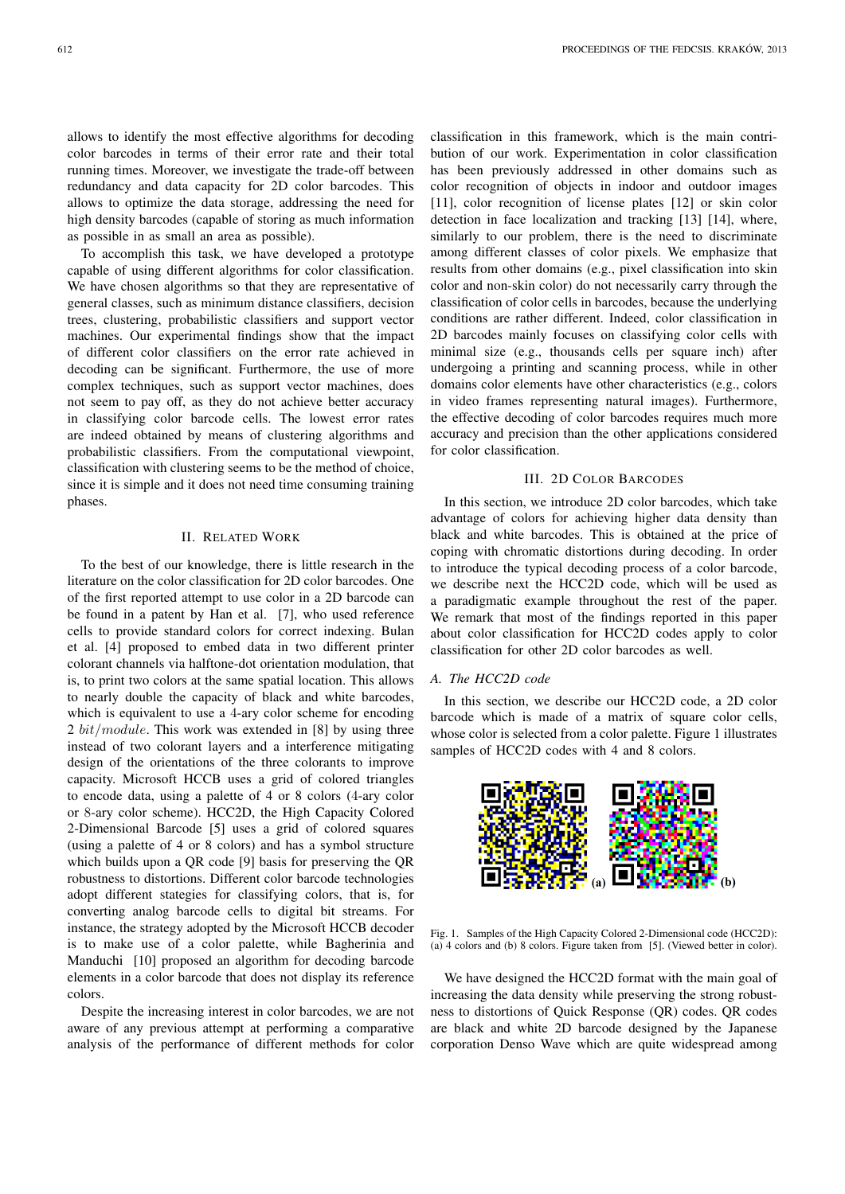allows to identify the most effective algorithms for decoding color barcodes in terms of their error rate and their total running times. Moreover, we investigate the trade-off between redundancy and data capacity for 2D color barcodes. This allows to optimize the data storage, addressing the need for high density barcodes (capable of storing as much information as possible in as small an area as possible).

To accomplish this task, we have developed a prototype capable of using different algorithms for color classification. We have chosen algorithms so that they are representative of general classes, such as minimum distance classifiers, decision trees, clustering, probabilistic classifiers and support vector machines. Our experimental findings show that the impact of different color classifiers on the error rate achieved in decoding can be significant. Furthermore, the use of more complex techniques, such as support vector machines, does not seem to pay off, as they do not achieve better accuracy in classifying color barcode cells. The lowest error rates are indeed obtained by means of clustering algorithms and probabilistic classifiers. From the computational viewpoint, classification with clustering seems to be the method of choice, since it is simple and it does not need time consuming training phases.

#### II. RELATED WORK

To the best of our knowledge, there is little research in the literature on the color classification for 2D color barcodes. One of the first reported attempt to use color in a 2D barcode can be found in a patent by Han et al. [7], who used reference cells to provide standard colors for correct indexing. Bulan et al. [4] proposed to embed data in two different printer colorant channels via halftone-dot orientation modulation, that is, to print two colors at the same spatial location. This allows to nearly double the capacity of black and white barcodes, which is equivalent to use a 4-ary color scheme for encoding 2 bit/module. This work was extended in  $[8]$  by using three instead of two colorant layers and a interference mitigating design of the orientations of the three colorants to improve capacity. Microsoft HCCB uses a grid of colored triangles to encode data, using a palette of 4 or 8 colors (4-ary color or 8-ary color scheme). HCC2D, the High Capacity Colored 2-Dimensional Barcode [5] uses a grid of colored squares (using a palette of 4 or 8 colors) and has a symbol structure which builds upon a QR code [9] basis for preserving the QR robustness to distortions. Different color barcode technologies adopt different stategies for classifying colors, that is, for converting analog barcode cells to digital bit streams. For instance, the strategy adopted by the Microsoft HCCB decoder is to make use of a color palette, while Bagherinia and Manduchi [10] proposed an algorithm for decoding barcode elements in a color barcode that does not display its reference colors.

Despite the increasing interest in color barcodes, we are not aware of any previous attempt at performing a comparative analysis of the performance of different methods for color

classification in this framework, which is the main contribution of our work. Experimentation in color classification has been previously addressed in other domains such as color recognition of objects in indoor and outdoor images [11], color recognition of license plates [12] or skin color detection in face localization and tracking [13] [14], where, similarly to our problem, there is the need to discriminate among different classes of color pixels. We emphasize that results from other domains (e.g., pixel classification into skin color and non-skin color) do not necessarily carry through the classification of color cells in barcodes, because the underlying conditions are rather different. Indeed, color classification in 2D barcodes mainly focuses on classifying color cells with minimal size (e.g., thousands cells per square inch) after undergoing a printing and scanning process, while in other domains color elements have other characteristics (e.g., colors in video frames representing natural images). Furthermore, the effective decoding of color barcodes requires much more accuracy and precision than the other applications considered for color classification.

## III. 2D COLOR BARCODES

In this section, we introduce 2D color barcodes, which take advantage of colors for achieving higher data density than black and white barcodes. This is obtained at the price of coping with chromatic distortions during decoding. In order to introduce the typical decoding process of a color barcode, we describe next the HCC2D code, which will be used as a paradigmatic example throughout the rest of the paper. We remark that most of the findings reported in this paper about color classification for HCC2D codes apply to color classification for other 2D color barcodes as well.

#### *A. The HCC2D code*

In this section, we describe our HCC2D code, a 2D color barcode which is made of a matrix of square color cells, whose color is selected from a color palette. Figure 1 illustrates samples of HCC2D codes with 4 and 8 colors.



Fig. 1. Samples of the High Capacity Colored 2-Dimensional code (HCC2D): (a) 4 colors and (b) 8 colors. Figure taken from [5]. (Viewed better in color).

We have designed the HCC2D format with the main goal of increasing the data density while preserving the strong robustness to distortions of Quick Response (QR) codes. QR codes are black and white 2D barcode designed by the Japanese corporation Denso Wave which are quite widespread among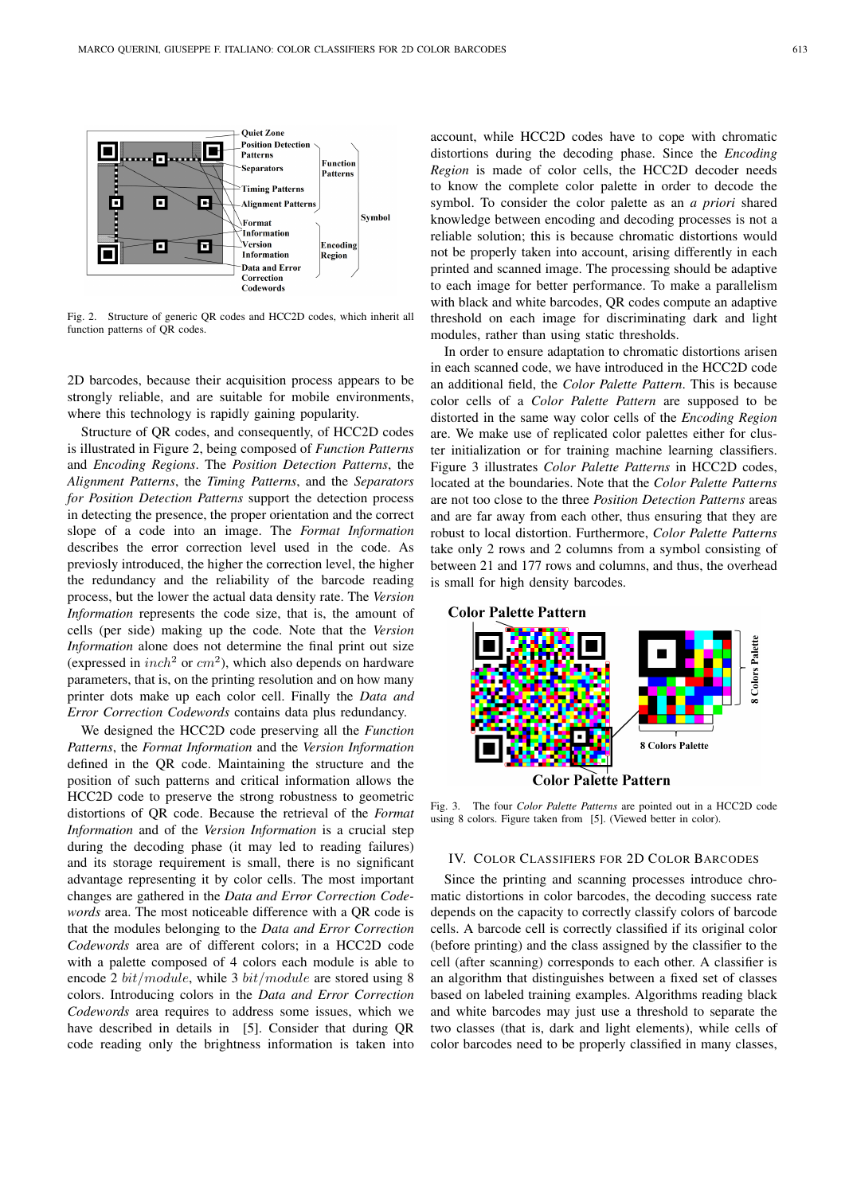

Fig. 2. Structure of generic QR codes and HCC2D codes, which inherit all function patterns of QR codes.

2D barcodes, because their acquisition process appears to be strongly reliable, and are suitable for mobile environments, where this technology is rapidly gaining popularity.

Structure of QR codes, and consequently, of HCC2D codes is illustrated in Figure 2, being composed of *Function Patterns* and *Encoding Regions*. The *Position Detection Patterns*, the *Alignment Patterns*, the *Timing Patterns*, and the *Separators for Position Detection Patterns* support the detection process in detecting the presence, the proper orientation and the correct slope of a code into an image. The *Format Information* describes the error correction level used in the code. As previosly introduced, the higher the correction level, the higher the redundancy and the reliability of the barcode reading process, but the lower the actual data density rate. The *Version Information* represents the code size, that is, the amount of cells (per side) making up the code. Note that the *Version Information* alone does not determine the final print out size (expressed in  $inch^2$  or  $cm^2$ ), which also depends on hardware parameters, that is, on the printing resolution and on how many printer dots make up each color cell. Finally the *Data and Error Correction Codewords* contains data plus redundancy.

We designed the HCC2D code preserving all the *Function Patterns*, the *Format Information* and the *Version Information* defined in the QR code. Maintaining the structure and the position of such patterns and critical information allows the HCC2D code to preserve the strong robustness to geometric distortions of QR code. Because the retrieval of the *Format Information* and of the *Version Information* is a crucial step during the decoding phase (it may led to reading failures) and its storage requirement is small, there is no significant advantage representing it by color cells. The most important changes are gathered in the *Data and Error Correction Codewords* area. The most noticeable difference with a QR code is that the modules belonging to the *Data and Error Correction Codewords* area are of different colors; in a HCC2D code with a palette composed of 4 colors each module is able to encode 2 bit/module, while 3 bit/module are stored using 8 colors. Introducing colors in the *Data and Error Correction Codewords* area requires to address some issues, which we have described in details in [5]. Consider that during QR code reading only the brightness information is taken into

account, while HCC2D codes have to cope with chromatic distortions during the decoding phase. Since the *Encoding Region* is made of color cells, the HCC2D decoder needs to know the complete color palette in order to decode the symbol. To consider the color palette as an *a priori* shared knowledge between encoding and decoding processes is not a reliable solution; this is because chromatic distortions would not be properly taken into account, arising differently in each printed and scanned image. The processing should be adaptive to each image for better performance. To make a parallelism with black and white barcodes, QR codes compute an adaptive threshold on each image for discriminating dark and light modules, rather than using static thresholds.

In order to ensure adaptation to chromatic distortions arisen in each scanned code, we have introduced in the HCC2D code an additional field, the *Color Palette Pattern*. This is because color cells of a *Color Palette Pattern* are supposed to be distorted in the same way color cells of the *Encoding Region* are. We make use of replicated color palettes either for cluster initialization or for training machine learning classifiers. Figure 3 illustrates *Color Palette Patterns* in HCC2D codes, located at the boundaries. Note that the *Color Palette Patterns* are not too close to the three *Position Detection Patterns* areas and are far away from each other, thus ensuring that they are robust to local distortion. Furthermore, *Color Palette Patterns* take only 2 rows and 2 columns from a symbol consisting of between 21 and 177 rows and columns, and thus, the overhead is small for high density barcodes.





Fig. 3. The four *Color Palette Patterns* are pointed out in a HCC2D code using 8 colors. Figure taken from [5]. (Viewed better in color).

# IV. COLOR CLASSIFIERS FOR 2D COLOR BARCODES

Since the printing and scanning processes introduce chromatic distortions in color barcodes, the decoding success rate depends on the capacity to correctly classify colors of barcode cells. A barcode cell is correctly classified if its original color (before printing) and the class assigned by the classifier to the cell (after scanning) corresponds to each other. A classifier is an algorithm that distinguishes between a fixed set of classes based on labeled training examples. Algorithms reading black and white barcodes may just use a threshold to separate the two classes (that is, dark and light elements), while cells of color barcodes need to be properly classified in many classes,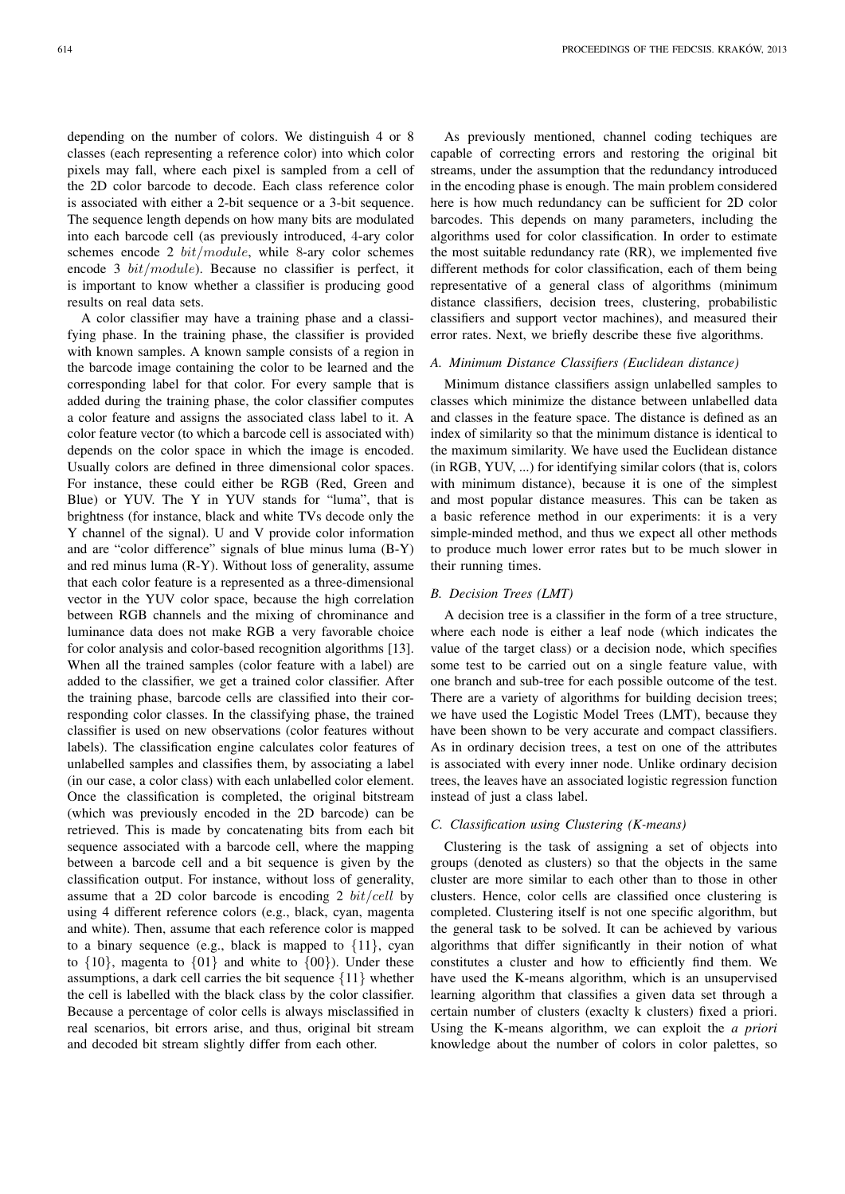depending on the number of colors. We distinguish 4 or 8 classes (each representing a reference color) into which color pixels may fall, where each pixel is sampled from a cell of the 2D color barcode to decode. Each class reference color is associated with either a 2-bit sequence or a 3-bit sequence. The sequence length depends on how many bits are modulated into each barcode cell (as previously introduced, 4-ary color schemes encode 2  $bit/module$ , while 8-ary color schemes encode 3 bit/module). Because no classifier is perfect, it is important to know whether a classifier is producing good results on real data sets.

A color classifier may have a training phase and a classifying phase. In the training phase, the classifier is provided with known samples. A known sample consists of a region in the barcode image containing the color to be learned and the corresponding label for that color. For every sample that is added during the training phase, the color classifier computes a color feature and assigns the associated class label to it. A color feature vector (to which a barcode cell is associated with) depends on the color space in which the image is encoded. Usually colors are defined in three dimensional color spaces. For instance, these could either be RGB (Red, Green and Blue) or YUV. The Y in YUV stands for "luma", that is brightness (for instance, black and white TVs decode only the Y channel of the signal). U and V provide color information and are "color difference" signals of blue minus luma (B-Y) and red minus luma (R-Y). Without loss of generality, assume that each color feature is a represented as a three-dimensional vector in the YUV color space, because the high correlation between RGB channels and the mixing of chrominance and luminance data does not make RGB a very favorable choice for color analysis and color-based recognition algorithms [13]. When all the trained samples (color feature with a label) are added to the classifier, we get a trained color classifier. After the training phase, barcode cells are classified into their corresponding color classes. In the classifying phase, the trained classifier is used on new observations (color features without labels). The classification engine calculates color features of unlabelled samples and classifies them, by associating a label (in our case, a color class) with each unlabelled color element. Once the classification is completed, the original bitstream (which was previously encoded in the 2D barcode) can be retrieved. This is made by concatenating bits from each bit sequence associated with a barcode cell, where the mapping between a barcode cell and a bit sequence is given by the classification output. For instance, without loss of generality, assume that a 2D color barcode is encoding 2  $bit/cell$  by using 4 different reference colors (e.g., black, cyan, magenta and white). Then, assume that each reference color is mapped to a binary sequence (e.g., black is mapped to  $\{11\}$ , cyan to  $\{10\}$ , magenta to  $\{01\}$  and white to  $\{00\}$ ). Under these assumptions, a dark cell carries the bit sequence  $\{11\}$  whether the cell is labelled with the black class by the color classifier. Because a percentage of color cells is always misclassified in real scenarios, bit errors arise, and thus, original bit stream and decoded bit stream slightly differ from each other.

As previously mentioned, channel coding techiques are capable of correcting errors and restoring the original bit streams, under the assumption that the redundancy introduced in the encoding phase is enough. The main problem considered here is how much redundancy can be sufficient for 2D color barcodes. This depends on many parameters, including the algorithms used for color classification. In order to estimate the most suitable redundancy rate (RR), we implemented five different methods for color classification, each of them being representative of a general class of algorithms (minimum distance classifiers, decision trees, clustering, probabilistic classifiers and support vector machines), and measured their error rates. Next, we briefly describe these five algorithms.

# *A. Minimum Distance Classifiers (Euclidean distance)*

Minimum distance classifiers assign unlabelled samples to classes which minimize the distance between unlabelled data and classes in the feature space. The distance is defined as an index of similarity so that the minimum distance is identical to the maximum similarity. We have used the Euclidean distance (in RGB, YUV, ...) for identifying similar colors (that is, colors with minimum distance), because it is one of the simplest and most popular distance measures. This can be taken as a basic reference method in our experiments: it is a very simple-minded method, and thus we expect all other methods to produce much lower error rates but to be much slower in their running times.

#### *B. Decision Trees (LMT)*

A decision tree is a classifier in the form of a tree structure, where each node is either a leaf node (which indicates the value of the target class) or a decision node, which specifies some test to be carried out on a single feature value, with one branch and sub-tree for each possible outcome of the test. There are a variety of algorithms for building decision trees; we have used the Logistic Model Trees (LMT), because they have been shown to be very accurate and compact classifiers. As in ordinary decision trees, a test on one of the attributes is associated with every inner node. Unlike ordinary decision trees, the leaves have an associated logistic regression function instead of just a class label.

#### *C. Classification using Clustering (K-means)*

Clustering is the task of assigning a set of objects into groups (denoted as clusters) so that the objects in the same cluster are more similar to each other than to those in other clusters. Hence, color cells are classified once clustering is completed. Clustering itself is not one specific algorithm, but the general task to be solved. It can be achieved by various algorithms that differ significantly in their notion of what constitutes a cluster and how to efficiently find them. We have used the K-means algorithm, which is an unsupervised learning algorithm that classifies a given data set through a certain number of clusters (exaclty k clusters) fixed a priori. Using the K-means algorithm, we can exploit the *a priori* knowledge about the number of colors in color palettes, so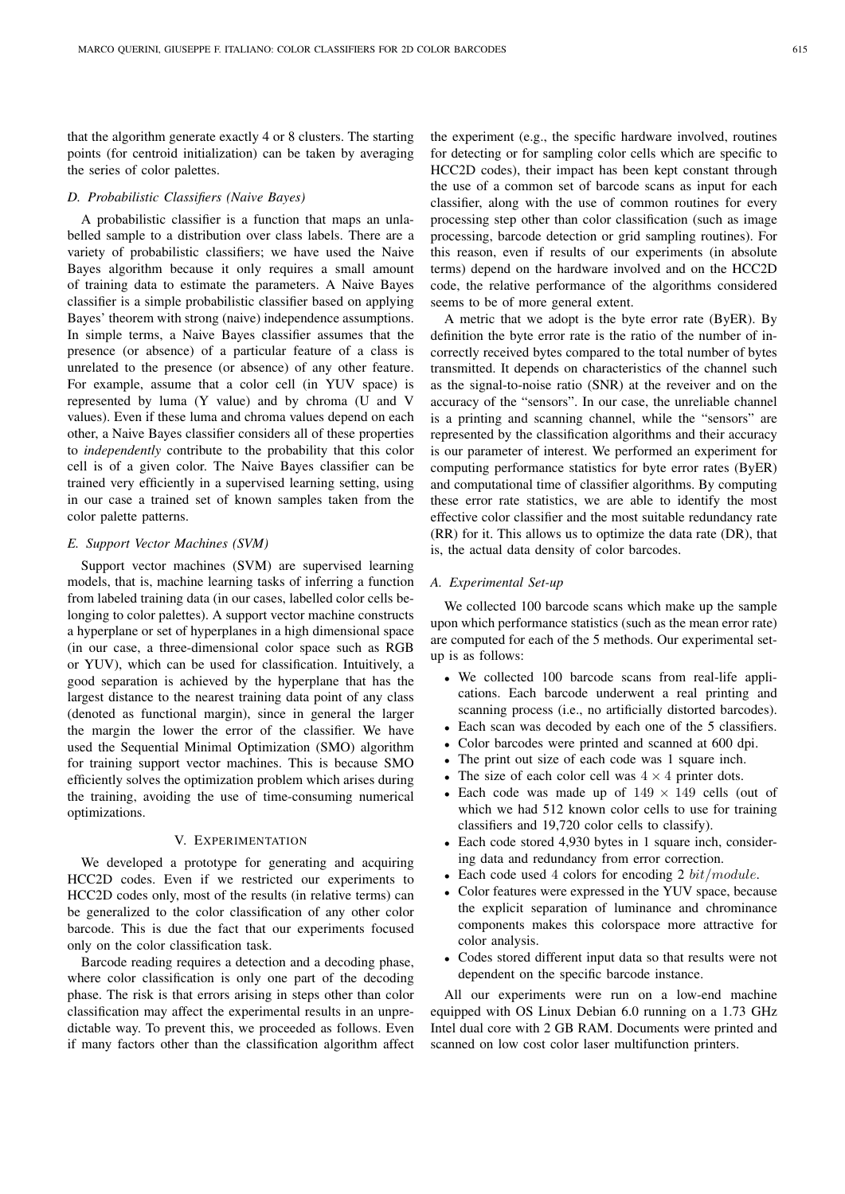that the algorithm generate exactly 4 or 8 clusters. The starting points (for centroid initialization) can be taken by averaging the series of color palettes.

#### *D. Probabilistic Classifiers (Naive Bayes)*

A probabilistic classifier is a function that maps an unlabelled sample to a distribution over class labels. There are a variety of probabilistic classifiers; we have used the Naive Bayes algorithm because it only requires a small amount of training data to estimate the parameters. A Naive Bayes classifier is a simple probabilistic classifier based on applying Bayes' theorem with strong (naive) independence assumptions. In simple terms, a Naive Bayes classifier assumes that the presence (or absence) of a particular feature of a class is unrelated to the presence (or absence) of any other feature. For example, assume that a color cell (in YUV space) is represented by luma (Y value) and by chroma (U and V values). Even if these luma and chroma values depend on each other, a Naive Bayes classifier considers all of these properties to *independently* contribute to the probability that this color cell is of a given color. The Naive Bayes classifier can be trained very efficiently in a supervised learning setting, using in our case a trained set of known samples taken from the color palette patterns.

## *E. Support Vector Machines (SVM)*

Support vector machines (SVM) are supervised learning models, that is, machine learning tasks of inferring a function from labeled training data (in our cases, labelled color cells belonging to color palettes). A support vector machine constructs a hyperplane or set of hyperplanes in a high dimensional space (in our case, a three-dimensional color space such as RGB or YUV), which can be used for classification. Intuitively, a good separation is achieved by the hyperplane that has the largest distance to the nearest training data point of any class (denoted as functional margin), since in general the larger the margin the lower the error of the classifier. We have used the Sequential Minimal Optimization (SMO) algorithm for training support vector machines. This is because SMO efficiently solves the optimization problem which arises during the training, avoiding the use of time-consuming numerical optimizations.

# V. EXPERIMENTATION

We developed a prototype for generating and acquiring HCC2D codes. Even if we restricted our experiments to HCC2D codes only, most of the results (in relative terms) can be generalized to the color classification of any other color barcode. This is due the fact that our experiments focused only on the color classification task.

Barcode reading requires a detection and a decoding phase, where color classification is only one part of the decoding phase. The risk is that errors arising in steps other than color classification may affect the experimental results in an unpredictable way. To prevent this, we proceeded as follows. Even if many factors other than the classification algorithm affect the experiment (e.g., the specific hardware involved, routines for detecting or for sampling color cells which are specific to HCC2D codes), their impact has been kept constant through the use of a common set of barcode scans as input for each classifier, along with the use of common routines for every processing step other than color classification (such as image processing, barcode detection or grid sampling routines). For this reason, even if results of our experiments (in absolute terms) depend on the hardware involved and on the HCC2D code, the relative performance of the algorithms considered seems to be of more general extent.

A metric that we adopt is the byte error rate (ByER). By definition the byte error rate is the ratio of the number of incorrectly received bytes compared to the total number of bytes transmitted. It depends on characteristics of the channel such as the signal-to-noise ratio (SNR) at the reveiver and on the accuracy of the "sensors". In our case, the unreliable channel is a printing and scanning channel, while the "sensors" are represented by the classification algorithms and their accuracy is our parameter of interest. We performed an experiment for computing performance statistics for byte error rates (ByER) and computational time of classifier algorithms. By computing these error rate statistics, we are able to identify the most effective color classifier and the most suitable redundancy rate (RR) for it. This allows us to optimize the data rate (DR), that is, the actual data density of color barcodes.

#### *A. Experimental Set-up*

We collected 100 barcode scans which make up the sample upon which performance statistics (such as the mean error rate) are computed for each of the 5 methods. Our experimental setup is as follows:

- We collected 100 barcode scans from real-life applications. Each barcode underwent a real printing and scanning process (i.e., no artificially distorted barcodes).
- Each scan was decoded by each one of the 5 classifiers.
- Color barcodes were printed and scanned at 600 dpi.
- The print out size of each code was 1 square inch.
- The size of each color cell was  $4 \times 4$  printer dots.
- Each code was made up of  $149 \times 149$  cells (out of which we had 512 known color cells to use for training classifiers and 19,720 color cells to classify).
- Each code stored 4,930 bytes in 1 square inch, considering data and redundancy from error correction.
- Each code used 4 colors for encoding 2  $bit/module$ .
- Color features were expressed in the YUV space, because the explicit separation of luminance and chrominance components makes this colorspace more attractive for color analysis.
- Codes stored different input data so that results were not dependent on the specific barcode instance.

All our experiments were run on a low-end machine equipped with OS Linux Debian 6.0 running on a 1.73 GHz Intel dual core with 2 GB RAM. Documents were printed and scanned on low cost color laser multifunction printers.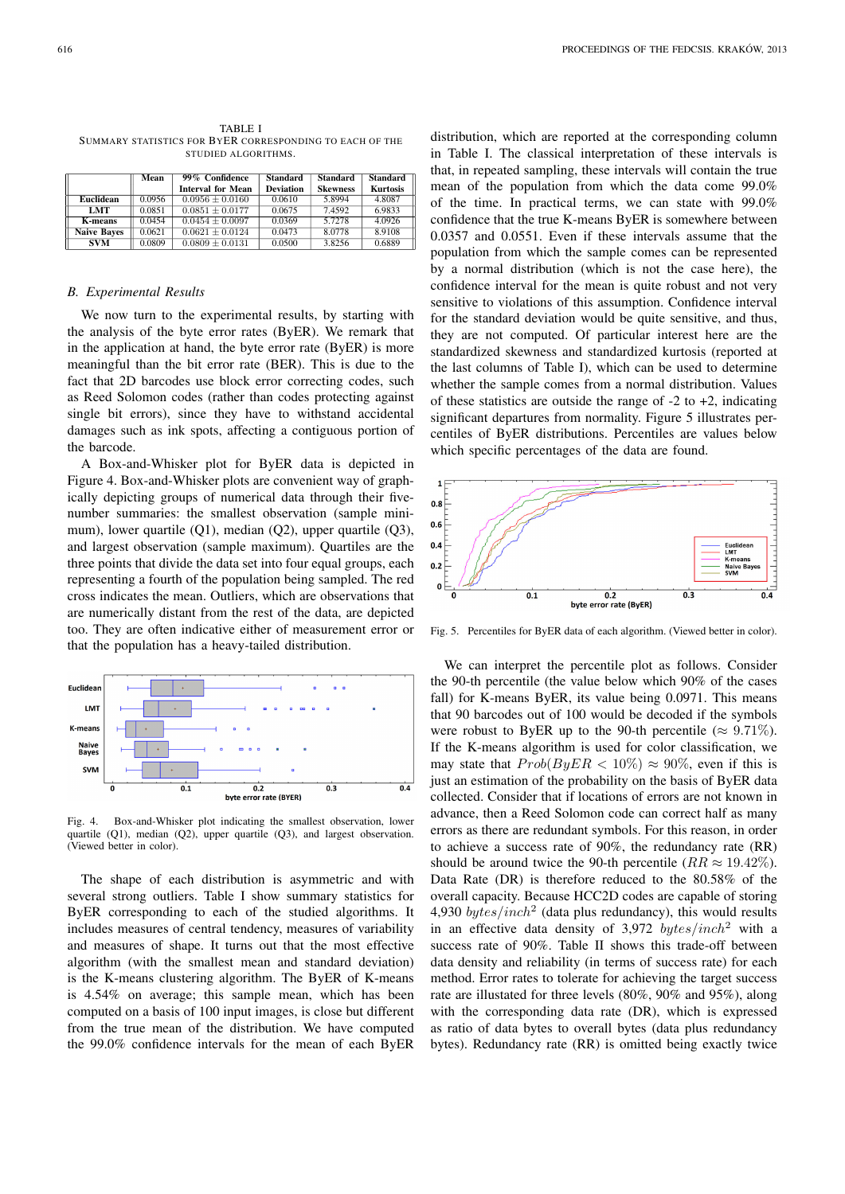|                    | Mean   | 99% Confidence           | <b>Standard</b>  | Standard        | <b>Standard</b> |
|--------------------|--------|--------------------------|------------------|-----------------|-----------------|
|                    |        | <b>Interval for Mean</b> | <b>Deviation</b> | <b>Skewness</b> | <b>Kurtosis</b> |
| Euclidean          | 0.0956 | $0.0956 \pm 0.0160$      | 0.0610           | 5.8994          | 4.8087          |
| <b>LMT</b>         | 0.0851 | $0.0851 \pm 0.0177$      | 0.0675           | 7.4592          | 6.9833          |
| <b>K-means</b>     | 0.0454 | $0.0454 \pm 0.0097$      | 0.0369           | 5.7278          | 4.0926          |
| <b>Naive Bayes</b> | 0.0621 | $0.0621 \pm 0.0124$      | 0.0473           | 8.0778          | 8.9108          |
| <b>SVM</b>         | 0.0809 | $0.0809 \pm 0.0131$      | 0.0500           | 3.8256          | 0.6889          |

TABLE I SUMMARY STATISTICS FOR BYER CORRESPONDING TO EACH OF THE STUDIED ALGORITHMS.

#### *B. Experimental Results*

We now turn to the experimental results, by starting with the analysis of the byte error rates (ByER). We remark that in the application at hand, the byte error rate (ByER) is more meaningful than the bit error rate (BER). This is due to the fact that 2D barcodes use block error correcting codes, such as Reed Solomon codes (rather than codes protecting against single bit errors), since they have to withstand accidental damages such as ink spots, affecting a contiguous portion of the barcode.

A Box-and-Whisker plot for ByER data is depicted in Figure 4. Box-and-Whisker plots are convenient way of graphically depicting groups of numerical data through their fivenumber summaries: the smallest observation (sample minimum), lower quartile (Q1), median (Q2), upper quartile (Q3), and largest observation (sample maximum). Quartiles are the three points that divide the data set into four equal groups, each representing a fourth of the population being sampled. The red cross indicates the mean. Outliers, which are observations that are numerically distant from the rest of the data, are depicted too. They are often indicative either of measurement error or that the population has a heavy-tailed distribution.



Fig. 4. Box-and-Whisker plot indicating the smallest observation, lower quartile (Q1), median (Q2), upper quartile (Q3), and largest observation. (Viewed better in color).

The shape of each distribution is asymmetric and with several strong outliers. Table I show summary statistics for ByER corresponding to each of the studied algorithms. It includes measures of central tendency, measures of variability and measures of shape. It turns out that the most effective algorithm (with the smallest mean and standard deviation) is the K-means clustering algorithm. The ByER of K-means is 4.54% on average; this sample mean, which has been computed on a basis of 100 input images, is close but different from the true mean of the distribution. We have computed the 99.0% confidence intervals for the mean of each ByER

distribution, which are reported at the corresponding column in Table I. The classical interpretation of these intervals is that, in repeated sampling, these intervals will contain the true mean of the population from which the data come 99.0% of the time. In practical terms, we can state with 99.0% confidence that the true K-means ByER is somewhere between 0.0357 and 0.0551. Even if these intervals assume that the population from which the sample comes can be represented by a normal distribution (which is not the case here), the confidence interval for the mean is quite robust and not very sensitive to violations of this assumption. Confidence interval for the standard deviation would be quite sensitive, and thus, they are not computed. Of particular interest here are the standardized skewness and standardized kurtosis (reported at the last columns of Table I), which can be used to determine whether the sample comes from a normal distribution. Values of these statistics are outside the range of  $-2$  to  $+2$ , indicating significant departures from normality. Figure 5 illustrates percentiles of ByER distributions. Percentiles are values below which specific percentages of the data are found.



Fig. 5. Percentiles for ByER data of each algorithm. (Viewed better in color).

We can interpret the percentile plot as follows. Consider the 90-th percentile (the value below which 90% of the cases fall) for K-means ByER, its value being 0.0971. This means that 90 barcodes out of 100 would be decoded if the symbols were robust to ByER up to the 90-th percentile ( $\approx 9.71\%$ ). If the K-means algorithm is used for color classification, we may state that  $Prob(BuER < 10\%) \approx 90\%$ , even if this is just an estimation of the probability on the basis of ByER data collected. Consider that if locations of errors are not known in advance, then a Reed Solomon code can correct half as many errors as there are redundant symbols. For this reason, in order to achieve a success rate of 90%, the redundancy rate (RR) should be around twice the 90-th percentile ( $RR \approx 19.42\%$ ). Data Rate (DR) is therefore reduced to the 80.58% of the overall capacity. Because HCC2D codes are capable of storing 4,930 bytes/inch<sup>2</sup> (data plus redundancy), this would results in an effective data density of  $3,972$  bytes/inch<sup>2</sup> with a success rate of 90%. Table II shows this trade-off between data density and reliability (in terms of success rate) for each method. Error rates to tolerate for achieving the target success rate are illustated for three levels (80%, 90% and 95%), along with the corresponding data rate (DR), which is expressed as ratio of data bytes to overall bytes (data plus redundancy bytes). Redundancy rate (RR) is omitted being exactly twice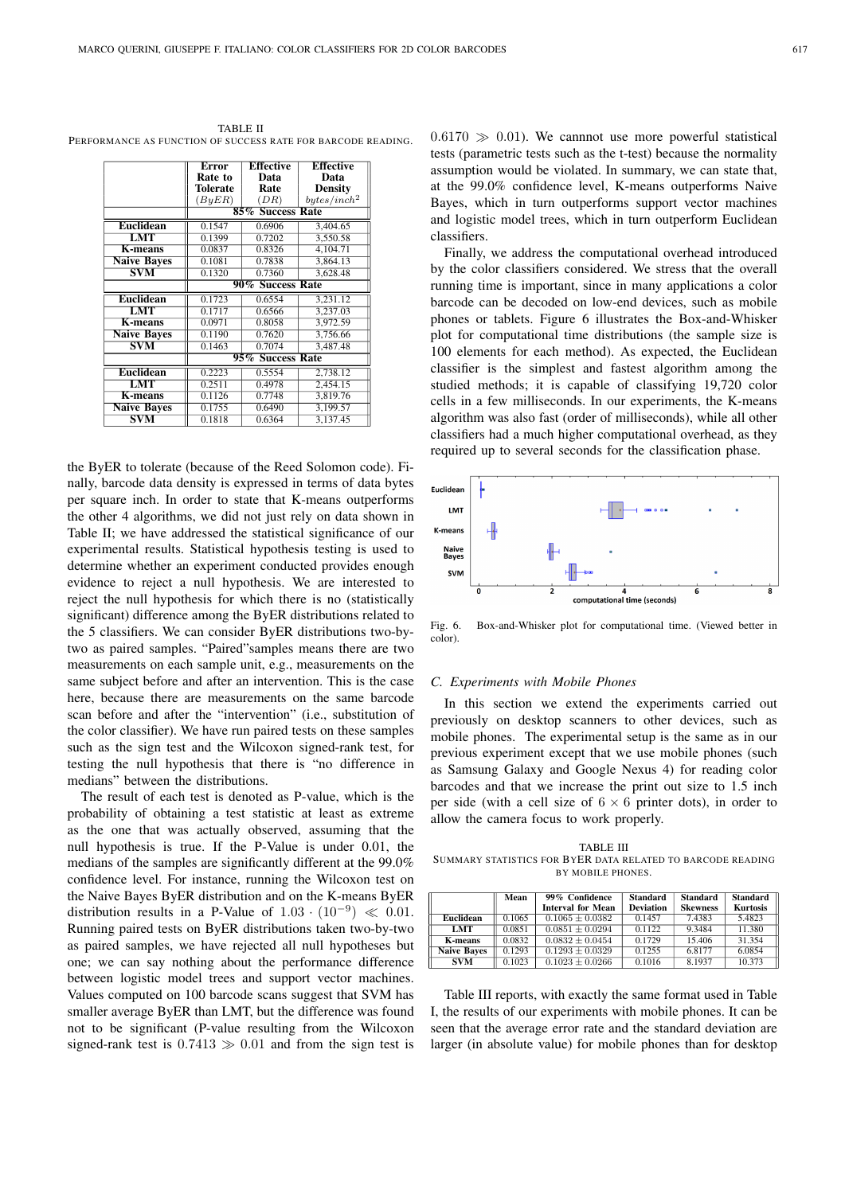TABLE II PERFORMANCE AS FUNCTION OF SUCCESS RATE FOR BARCODE READING.

|                      | Error                         | <b>Effective</b> | <b>Effective</b>        |  |
|----------------------|-------------------------------|------------------|-------------------------|--|
|                      | Rate to                       | Data             | Data                    |  |
|                      | <b>Tolerate</b>               | Rate             | <b>Density</b>          |  |
|                      | (ByER)                        | (DR)             | bytes/inch <sup>2</sup> |  |
|                      | $85\%$<br><b>Success Rate</b> |                  |                         |  |
| <b>Euclidean</b>     | 0.1547                        | 0.6906           | 3,404.65                |  |
| $\overline{\rm LMT}$ | 0.1399                        | 0.7202           | 3,550.58                |  |
| <b>K-means</b>       | 0.0837                        | 0.8326           | 4,104.71                |  |
| <b>Naive Baves</b>   | 0.1081                        | 0.7838           | 3,864.13                |  |
| <b>SVM</b>           | 0.1320                        | 0.7360           | 3,628.48                |  |
|                      | 90% Success Rate              |                  |                         |  |
| <b>Euclidean</b>     | 0.1723                        | 0.6554           | 3.231.12                |  |
| LMT                  | 0.1717                        | 0.6566           | 3.237.03                |  |
| <b>K-means</b>       | 0.0971                        | 0.8058           | 3.972.59                |  |
| <b>Naive Baves</b>   | 0.1190                        | 0.7620           | 3,756.66                |  |
| <b>SVM</b>           | 0.1463                        | 0.7074           | 3,487.48                |  |
|                      | 95% Success Rate              |                  |                         |  |
| <b>Euclidean</b>     | 0.2223                        | 0.5554           | 2,738.12                |  |
| LMT                  | 0.2511                        | 0.4978           | 2,454.15                |  |
| <b>K-means</b>       | 0.1126                        | 0.7748           | 3,819.76                |  |
| <b>Naive Baves</b>   | 0.1755                        | 0.6490           | 3,199.57                |  |
| SVM                  | 0.1818                        | 0.6364           | 3,137.45                |  |

the ByER to tolerate (because of the Reed Solomon code). Finally, barcode data density is expressed in terms of data bytes per square inch. In order to state that K-means outperforms the other 4 algorithms, we did not just rely on data shown in Table II; we have addressed the statistical significance of our experimental results. Statistical hypothesis testing is used to determine whether an experiment conducted provides enough evidence to reject a null hypothesis. We are interested to reject the null hypothesis for which there is no (statistically significant) difference among the ByER distributions related to the 5 classifiers. We can consider ByER distributions two-bytwo as paired samples. "Paired"samples means there are two measurements on each sample unit, e.g., measurements on the same subject before and after an intervention. This is the case here, because there are measurements on the same barcode scan before and after the "intervention" (i.e., substitution of the color classifier). We have run paired tests on these samples such as the sign test and the Wilcoxon signed-rank test, for testing the null hypothesis that there is "no difference in medians" between the distributions.

The result of each test is denoted as P-value, which is the probability of obtaining a test statistic at least as extreme as the one that was actually observed, assuming that the null hypothesis is true. If the P-Value is under 0.01, the medians of the samples are significantly different at the 99.0% confidence level. For instance, running the Wilcoxon test on the Naive Bayes ByER distribution and on the K-means ByER distribution results in a P-Value of  $1.03 \cdot (10^{-9}) \ll 0.01$ . Running paired tests on ByER distributions taken two-by-two as paired samples, we have rejected all null hypotheses but one; we can say nothing about the performance difference between logistic model trees and support vector machines. Values computed on 100 barcode scans suggest that SVM has smaller average ByER than LMT, but the difference was found not to be significant (P-value resulting from the Wilcoxon signed-rank test is  $0.7413 \gg 0.01$  and from the sign test is

 $0.6170 \gg 0.01$ ). We cannnot use more powerful statistical tests (parametric tests such as the t-test) because the normality assumption would be violated. In summary, we can state that, at the 99.0% confidence level, K-means outperforms Naive Bayes, which in turn outperforms support vector machines and logistic model trees, which in turn outperform Euclidean classifiers.

Finally, we address the computational overhead introduced by the color classifiers considered. We stress that the overall running time is important, since in many applications a color barcode can be decoded on low-end devices, such as mobile phones or tablets. Figure 6 illustrates the Box-and-Whisker plot for computational time distributions (the sample size is 100 elements for each method). As expected, the Euclidean classifier is the simplest and fastest algorithm among the studied methods; it is capable of classifying 19,720 color cells in a few milliseconds. In our experiments, the K-means algorithm was also fast (order of milliseconds), while all other classifiers had a much higher computational overhead, as they required up to several seconds for the classification phase.



Fig. 6. Box-and-Whisker plot for computational time. (Viewed better in color).

## *C. Experiments with Mobile Phones*

In this section we extend the experiments carried out previously on desktop scanners to other devices, such as mobile phones. The experimental setup is the same as in our previous experiment except that we use mobile phones (such as Samsung Galaxy and Google Nexus 4) for reading color barcodes and that we increase the print out size to 1.5 inch per side (with a cell size of  $6 \times 6$  printer dots), in order to allow the camera focus to work properly.

TABLE III SUMMARY STATISTICS FOR BYER DATA RELATED TO BARCODE READING BY MOBILE PHONES.

|                    | Mean   | 99% Confidence           | <b>Standard</b>  | <b>Standard</b> | <b>Standard</b> |
|--------------------|--------|--------------------------|------------------|-----------------|-----------------|
|                    |        | <b>Interval for Mean</b> | <b>Deviation</b> | <b>Skewness</b> | <b>Kurtosis</b> |
| Euclidean          | 0.1065 | $0.1065 \pm 0.0382$      | 0.1457           | 7.4383          | 5.4823          |
| <b>LMT</b>         | 0.0851 | $0.0851 \pm 0.0294$      | 0.1122           | 9.3484          | 11.380          |
| <b>K-means</b>     | 0.0832 | $0.0832 \pm 0.0454$      | 0.1729           | 15.406          | 31.354          |
| <b>Naive Bayes</b> | 0.1293 | $0.1293 \pm 0.0329$      | 0.1255           | 6.8177          | 6.0854          |
| <b>SVM</b>         | 0.1023 | $0.1023 \pm 0.0266$      | 0.1016           | 8.1937          | 10.373          |

Table III reports, with exactly the same format used in Table I, the results of our experiments with mobile phones. It can be seen that the average error rate and the standard deviation are larger (in absolute value) for mobile phones than for desktop